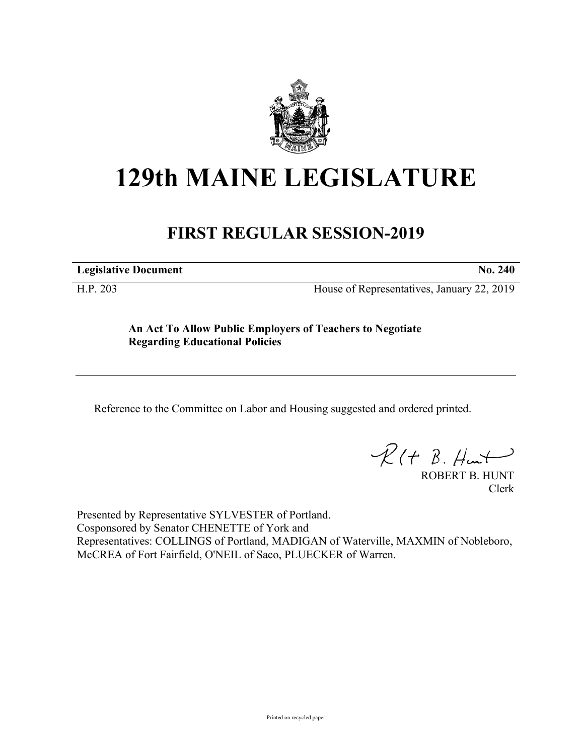

## **129th MAINE LEGISLATURE**

## **FIRST REGULAR SESSION-2019**

**Legislative Document No. 240**

H.P. 203 House of Representatives, January 22, 2019

**An Act To Allow Public Employers of Teachers to Negotiate Regarding Educational Policies**

Reference to the Committee on Labor and Housing suggested and ordered printed.

 $R(t B. Hmt)$ 

ROBERT B. HUNT Clerk

Presented by Representative SYLVESTER of Portland. Cosponsored by Senator CHENETTE of York and Representatives: COLLINGS of Portland, MADIGAN of Waterville, MAXMIN of Nobleboro, McCREA of Fort Fairfield, O'NEIL of Saco, PLUECKER of Warren.